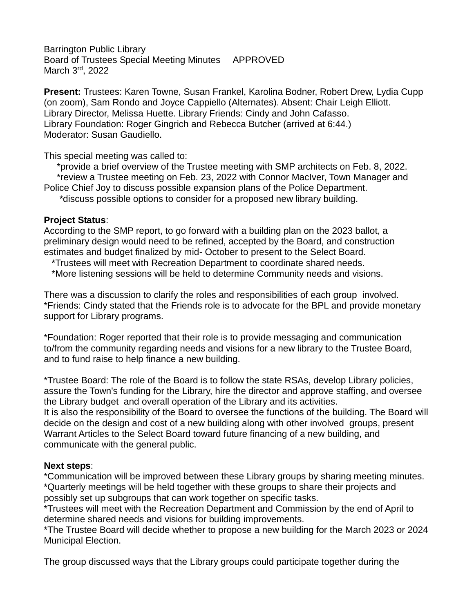Barrington Public Library Board of Trustees Special Meeting Minutes APPROVED March 3rd, 2022

**Present:** Trustees: Karen Towne, Susan Frankel, Karolina Bodner, Robert Drew, Lydia Cupp (on zoom), Sam Rondo and Joyce Cappiello (Alternates). Absent: Chair Leigh Elliott. Library Director, Melissa Huette. Library Friends: Cindy and John Cafasso. Library Foundation: Roger Gingrich and Rebecca Butcher (arrived at 6:44.) Moderator: Susan Gaudiello.

This special meeting was called to:

 \*provide a brief overview of the Trustee meeting with SMP architects on Feb. 8, 2022. \*review a Trustee meeting on Feb. 23, 2022 with Connor MacIver, Town Manager and Police Chief Joy to discuss possible expansion plans of the Police Department.

\*discuss possible options to consider for a proposed new library building.

## **Project Status**:

According to the SMP report, to go forward with a building plan on the 2023 ballot, a preliminary design would need to be refined, accepted by the Board, and construction estimates and budget finalized by mid- October to present to the Select Board.

\*Trustees will meet with Recreation Department to coordinate shared needs.

\*More listening sessions will be held to determine Community needs and visions.

There was a discussion to clarify the roles and responsibilities of each group involved. \*Friends: Cindy stated that the Friends role is to advocate for the BPL and provide monetary support for Library programs.

\*Foundation: Roger reported that their role is to provide messaging and communication to/from the community regarding needs and visions for a new library to the Trustee Board, and to fund raise to help finance a new building.

\*Trustee Board: The role of the Board is to follow the state RSAs, develop Library policies, assure the Town's funding for the Library, hire the director and approve staffing, and oversee the Library budget and overall operation of the Library and its activities.

It is also the responsibility of the Board to oversee the functions of the building. The Board will decide on the design and cost of a new building along with other involved groups, present Warrant Articles to the Select Board toward future financing of a new building, and communicate with the general public.

## **Next steps**:

\*Communication will be improved between these Library groups by sharing meeting minutes. \*Quarterly meetings will be held together with these groups to share their projects and possibly set up subgroups that can work together on specific tasks.

\*Trustees will meet with the Recreation Department and Commission by the end of April to determine shared needs and visions for building improvements.

\*The Trustee Board will decide whether to propose a new building for the March 2023 or 2024 Municipal Election.

The group discussed ways that the Library groups could participate together during the